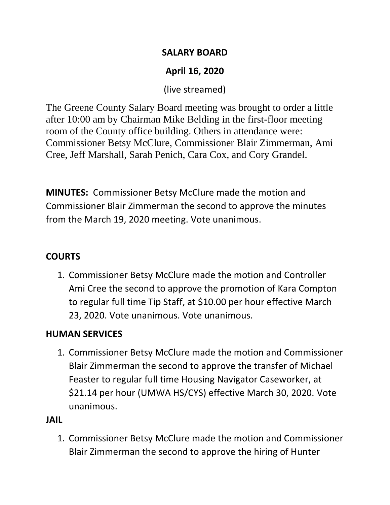### **SALARY BOARD**

# **April 16, 2020**

(live streamed)

The Greene County Salary Board meeting was brought to order a little after 10:00 am by Chairman Mike Belding in the first-floor meeting room of the County office building. Others in attendance were: Commissioner Betsy McClure, Commissioner Blair Zimmerman, Ami Cree, Jeff Marshall, Sarah Penich, Cara Cox, and Cory Grandel.

**MINUTES:** Commissioner Betsy McClure made the motion and Commissioner Blair Zimmerman the second to approve the minutes from the March 19, 2020 meeting. Vote unanimous.

# **COURTS**

1. Commissioner Betsy McClure made the motion and Controller Ami Cree the second to approve the promotion of Kara Compton to regular full time Tip Staff, at \$10.00 per hour effective March 23, 2020. Vote unanimous. Vote unanimous.

# **HUMAN SERVICES**

1. Commissioner Betsy McClure made the motion and Commissioner Blair Zimmerman the second to approve the transfer of Michael Feaster to regular full time Housing Navigator Caseworker, at \$21.14 per hour (UMWA HS/CYS) effective March 30, 2020. Vote unanimous.

# **JAIL**

1. Commissioner Betsy McClure made the motion and Commissioner Blair Zimmerman the second to approve the hiring of Hunter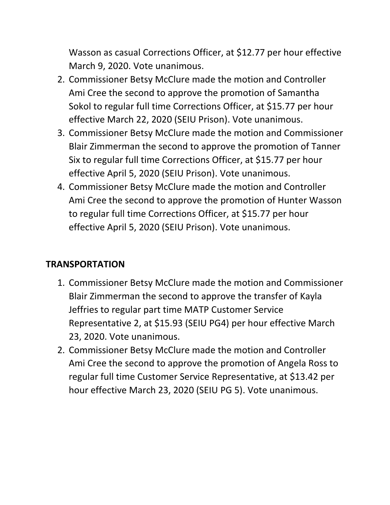Wasson as casual Corrections Officer, at \$12.77 per hour effective March 9, 2020. Vote unanimous.

- 2. Commissioner Betsy McClure made the motion and Controller Ami Cree the second to approve the promotion of Samantha Sokol to regular full time Corrections Officer, at \$15.77 per hour effective March 22, 2020 (SEIU Prison). Vote unanimous.
- 3. Commissioner Betsy McClure made the motion and Commissioner Blair Zimmerman the second to approve the promotion of Tanner Six to regular full time Corrections Officer, at \$15.77 per hour effective April 5, 2020 (SEIU Prison). Vote unanimous.
- 4. Commissioner Betsy McClure made the motion and Controller Ami Cree the second to approve the promotion of Hunter Wasson to regular full time Corrections Officer, at \$15.77 per hour effective April 5, 2020 (SEIU Prison). Vote unanimous.

## **TRANSPORTATION**

- 1. Commissioner Betsy McClure made the motion and Commissioner Blair Zimmerman the second to approve the transfer of Kayla Jeffries to regular part time MATP Customer Service Representative 2, at \$15.93 (SEIU PG4) per hour effective March 23, 2020. Vote unanimous.
- 2. Commissioner Betsy McClure made the motion and Controller Ami Cree the second to approve the promotion of Angela Ross to regular full time Customer Service Representative, at \$13.42 per hour effective March 23, 2020 (SEIU PG 5). Vote unanimous.